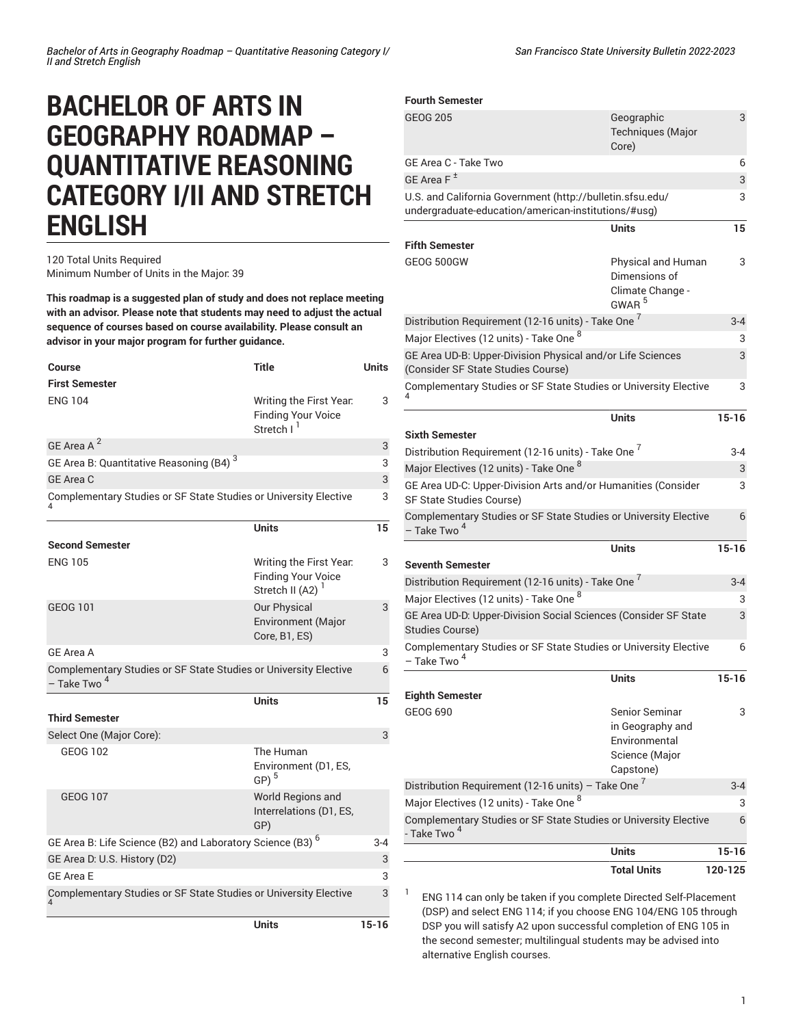# **BACHELOR OF ARTS IN GEOGRAPHY ROADMAP – QUANTITATIVE REASONING CATEGORY I/II AND STRETCH ENGLISH**

### 120 Total Units Required Minimum Number of Units in the Major: 39

**This roadmap is a suggested plan of study and does not replace meeting with an advisor. Please note that students may need to adjust the actual sequence of courses based on course availability. Please consult an advisor in your major program for further guidance.**

| Course                                                                                      | <b>Title</b>                                                                   | <b>Units</b> |
|---------------------------------------------------------------------------------------------|--------------------------------------------------------------------------------|--------------|
| <b>First Semester</b>                                                                       |                                                                                |              |
| <b>ENG 104</b>                                                                              | Writing the First Year.<br><b>Finding Your Voice</b><br>Stretch I <sup>1</sup> | 3            |
| GE Area A <sup>2</sup>                                                                      |                                                                                | 3            |
| GE Area B: Quantitative Reasoning (B4) <sup>3</sup>                                         |                                                                                | 3            |
| GE Area C                                                                                   |                                                                                | 3            |
| Complementary Studies or SF State Studies or University Elective                            |                                                                                | 3            |
|                                                                                             | <b>Units</b>                                                                   | 15           |
| <b>Second Semester</b>                                                                      |                                                                                |              |
| <b>ENG 105</b>                                                                              | Writing the First Year.<br><b>Finding Your Voice</b><br>Stretch II (A2) $1$    | 3            |
| <b>GEOG 101</b>                                                                             | Our Physical<br><b>Environment</b> (Major<br>Core, B1, ES)                     | 3            |
| GE Area A                                                                                   |                                                                                | 3            |
| Complementary Studies or SF State Studies or University Elective<br>– Take Two <sup>4</sup> |                                                                                | 6            |
| <b>Third Semester</b>                                                                       | <b>Units</b>                                                                   | 15           |
| Select One (Major Core):                                                                    |                                                                                | 3            |
| <b>GEOG 102</b>                                                                             | The Human<br>Environment (D1, ES,<br>$GP)$ <sup>5</sup>                        |              |
| <b>GEOG 107</b>                                                                             | World Regions and<br>Interrelations (D1, ES,<br>GP)                            |              |
| GE Area B: Life Science (B2) and Laboratory Science (B3) <sup>6</sup>                       |                                                                                | $3 - 4$      |
| GE Area D: U.S. History (D2)                                                                |                                                                                | 3            |
| <b>GE Area E</b>                                                                            |                                                                                | 3            |
| Complementary Studies or SF State Studies or University Elective                            |                                                                                | 3            |
|                                                                                             | Units                                                                          | $15 - 16$    |

**Fourth Semester**

| <b>GEOG 205</b>                                                                                                  | Geographic<br>Techniques (Major<br>Core)                                           | 3         |
|------------------------------------------------------------------------------------------------------------------|------------------------------------------------------------------------------------|-----------|
| GE Area C - Take Two                                                                                             |                                                                                    | 6         |
| GE Area $F^{\pm}$                                                                                                |                                                                                    | 3         |
| U.S. and California Government (http://bulletin.sfsu.edu/<br>undergraduate-education/american-institutions/#usg) |                                                                                    | 3         |
|                                                                                                                  | <b>Units</b>                                                                       | 15        |
| <b>Fifth Semester</b>                                                                                            |                                                                                    |           |
| GEOG 500GW                                                                                                       | Physical and Human<br>Dimensions of<br>Climate Change -<br>GWAR <sup>5</sup>       | 3         |
| Distribution Requirement (12-16 units) - Take One <sup>7</sup>                                                   |                                                                                    | $3 - 4$   |
| Major Electives (12 units) - Take One 8                                                                          |                                                                                    | 3         |
| GE Area UD-B: Upper-Division Physical and/or Life Sciences<br>(Consider SF State Studies Course)                 |                                                                                    | 3         |
| Complementary Studies or SF State Studies or University Elective                                                 |                                                                                    | 3         |
|                                                                                                                  | <b>Units</b>                                                                       | $15 - 16$ |
| <b>Sixth Semester</b>                                                                                            |                                                                                    |           |
| Distribution Requirement (12-16 units) - Take One <sup>7</sup>                                                   |                                                                                    | 3-4       |
| Major Electives (12 units) - Take One <sup>8</sup>                                                               |                                                                                    | 3         |
| GE Area UD-C: Upper-Division Arts and/or Humanities (Consider<br>SF State Studies Course)                        |                                                                                    | 3         |
| Complementary Studies or SF State Studies or University Elective<br>– Take Two <sup>4</sup>                      |                                                                                    | 6         |
|                                                                                                                  | <b>Units</b>                                                                       | 15-16     |
| <b>Seventh Semester</b>                                                                                          |                                                                                    |           |
| Distribution Requirement (12-16 units) - Take One <sup>7</sup>                                                   |                                                                                    | $3 - 4$   |
| Major Electives (12 units) - Take One $^8$                                                                       |                                                                                    | 3         |
| GE Area UD-D: Upper-Division Social Sciences (Consider SF State<br>Studies Course)                               |                                                                                    | 3         |
| Complementary Studies or SF State Studies or University Elective<br>- Take Two <sup>4</sup>                      |                                                                                    | 6         |
|                                                                                                                  | <b>Units</b>                                                                       | $15 - 16$ |
| <b>Eighth Semester</b>                                                                                           |                                                                                    |           |
| GEOG 690                                                                                                         | Senior Seminar<br>in Geography and<br>Environmental<br>Science (Major<br>Capstone) | 3         |
| Distribution Requirement (12-16 units) - Take One $^7$                                                           |                                                                                    | $3 - 4$   |
| Major Electives (12 units) - Take One $^8$                                                                       |                                                                                    | 3         |
| Complementary Studies or SF State Studies or University Elective<br>- Take Two <sup>4</sup>                      |                                                                                    | 6         |
|                                                                                                                  | <b>Units</b>                                                                       | $15 - 16$ |
|                                                                                                                  | <b>Total Units</b>                                                                 | 120-125   |

1 ENG 114 can only be taken if you complete Directed Self-Placement (DSP) and select ENG 114; if you choose ENG 104/ENG 105 through DSP you will satisfy A2 upon successful completion of ENG 105 in the second semester; multilingual students may be advised into alternative English courses.